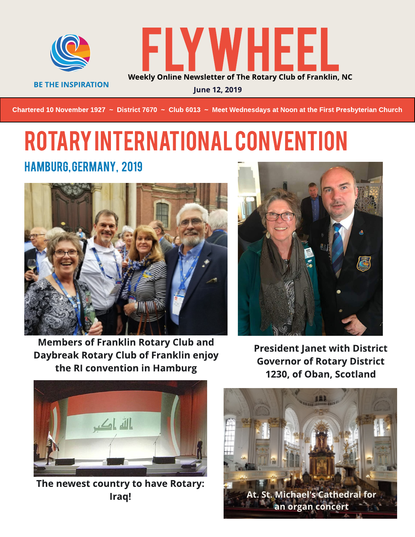

**BE THE INSPIRATION** 



June 12, 2019

Chartered 10 November 1927 ~ District 7670 ~ Club 6013 ~ Meet Wednesdays at Noon at the First Presbyterian Church

## ROTARYINTERNATIONALCONVENTION HAMBURG, GERMANY, 2019



Members of Franklin Rotary Club and Daybreak Rotary Club of Franklin enjoy the RI convention in Hamburg



President Janet with District **Governor of Rotary District** 1230, of Oban, Scotland



The newest country to have Rotary: Iraq!